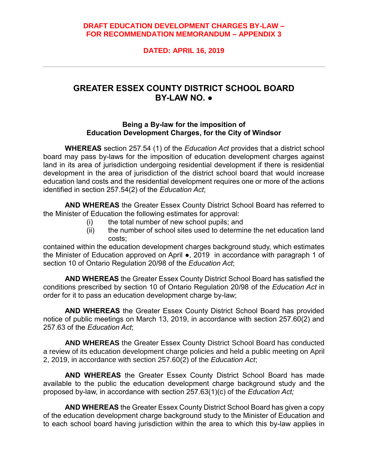#### **DRAFT EDUCATION DEVELOPMENT CHARGES BY-LAW – FOR RECOMMENDATION MEMORANDUM – APPENDIX 3**

## **DATED: APRIL 16, 2019**

# **GREATER ESSEX COUNTY DISTRICT SCHOOL BOARD BY-LAW NO. ●**

#### **Being a By-law for the imposition of Education Development Charges, for the City of Windsor**

**WHEREAS** section 257.54 (1) of the *Education Act* provides that a district school board may pass by-laws for the imposition of education development charges against land in its area of jurisdiction undergoing residential development if there is residential development in the area of jurisdiction of the district school board that would increase education land costs and the residential development requires one or more of the actions identified in section 257.54(2) of the *Education Act*;

**AND WHEREAS** the Greater Essex County District School Board has referred to the Minister of Education the following estimates for approval:

- (i) the total number of new school pupils; and
- $(iii)$  the number of school sites used to determine the net education land costs;

contained within the education development charges background study, which estimates the Minister of Education approved on April ●, 2019 in accordance with paragraph 1 of section 10 of Ontario Regulation 20/98 of the *Education Act*;

**AND WHEREAS** the Greater Essex County District School Board has satisfied the conditions prescribed by section 10 of Ontario Regulation 20/98 of the *Education Act* in order for it to pass an education development charge by-law;

**AND WHEREAS** the Greater Essex County District School Board has provided notice of public meetings on March 13, 2019, in accordance with section 257.60(2) and 257.63 of the *Education Act*;

**AND WHEREAS** the Greater Essex County District School Board has conducted a review of its education development charge policies and held a public meeting on April 2, 2019, in accordance with section 257.60(2) of the *Education Act*;

**AND WHEREAS** the Greater Essex County District School Board has made available to the public the education development charge background study and the proposed by-law, in accordance with section 257.63(1)(c) of the *Education Act;*

**AND WHEREAS** the Greater Essex County District School Board has given a copy of the education development charge background study to the Minister of Education and to each school board having jurisdiction within the area to which this by-law applies in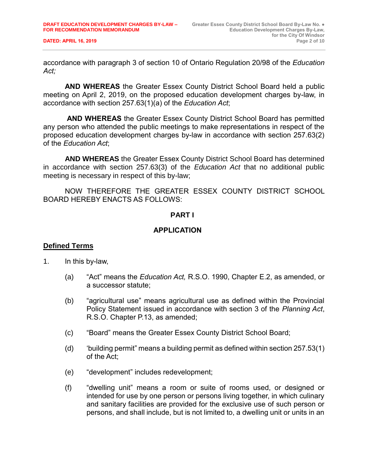accordance with paragraph 3 of section 10 of Ontario Regulation 20/98 of the *Education Act;*

**AND WHEREAS** the Greater Essex County District School Board held a public meeting on April 2, 2019, on the proposed education development charges by-law, in accordance with section 257.63(1)(a) of the *Education Act*;

**AND WHEREAS** the Greater Essex County District School Board has permitted any person who attended the public meetings to make representations in respect of the proposed education development charges by-law in accordance with section 257.63(2) of the *Education Act*;

**AND WHEREAS** the Greater Essex County District School Board has determined in accordance with section 257.63(3) of the *Education Act* that no additional public meeting is necessary in respect of this by-law;

NOW THEREFORE THE GREATER ESSEX COUNTY DISTRICT SCHOOL BOARD HEREBY ENACTS AS FOLLOWS:

## **PART I**

#### **APPLICATION**

#### **Defined Terms**

- 1. In this by-law,
	- (a) "Act" means the *Education Act,* R.S.O. 1990, Chapter E.2, as amended, or a successor statute;
	- (b) "agricultural use" means agricultural use as defined within the Provincial Policy Statement issued in accordance with section 3 of the *Planning Act*, R.S.O. Chapter P.13, as amended;
	- (c) "Board" means the Greater Essex County District School Board;
	- (d) 'building permit" means a building permit as defined within section 257.53(1) of the Act;
	- (e) "development" includes redevelopment;
	- (f) "dwelling unit" means a room or suite of rooms used, or designed or intended for use by one person or persons living together, in which culinary and sanitary facilities are provided for the exclusive use of such person or persons, and shall include, but is not limited to, a dwelling unit or units in an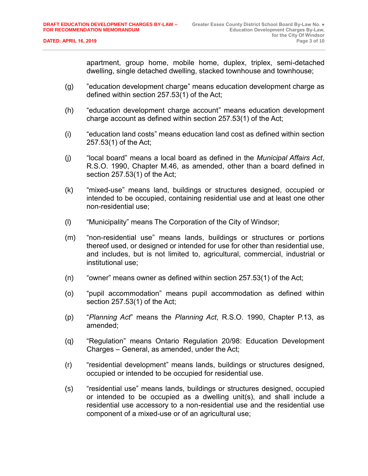apartment, group home, mobile home, duplex, triplex, semi-detached dwelling, single detached dwelling, stacked townhouse and townhouse;

- (g) "education development charge" means education development charge as defined within section 257.53(1) of the Act;
- (h) "education development charge account" means education development charge account as defined within section 257.53(1) of the Act;
- (i) "education land costs" means education land cost as defined within section 257.53(1) of the Act;
- (j) "local board" means a local board as defined in the *Municipal Affairs Act*, R.S.O. 1990, Chapter M.46, as amended, other than a board defined in section 257.53(1) of the Act;
- (k) "mixed-use" means land, buildings or structures designed, occupied or intended to be occupied, containing residential use and at least one other non-residential use;
- (l) "Municipality" means The Corporation of the City of Windsor;
- (m) "non-residential use" means lands, buildings or structures or portions thereof used, or designed or intended for use for other than residential use, and includes, but is not limited to, agricultural, commercial, industrial or institutional use;
- (n) "owner" means owner as defined within section 257.53(1) of the Act;
- (o) "pupil accommodation" means pupil accommodation as defined within section 257.53(1) of the Act;
- (p) "*Planning Act*" means the *Planning Act*, R.S.O. 1990, Chapter P.13, as amended;
- (q) "Regulation" means Ontario Regulation 20/98: Education Development Charges – General, as amended, under the Act;
- (r) "residential development" means lands, buildings or structures designed, occupied or intended to be occupied for residential use.
- (s) "residential use" means lands, buildings or structures designed, occupied or intended to be occupied as a dwelling unit(s), and shall include a residential use accessory to a non-residential use and the residential use component of a mixed-use or of an agricultural use;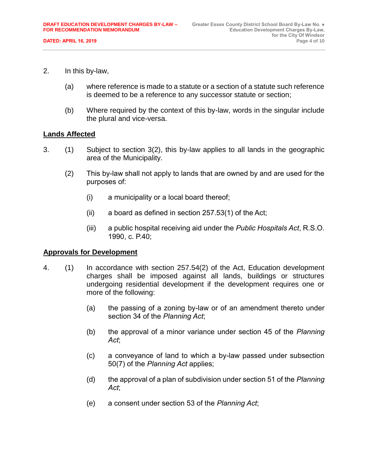- 2. In this by-law,
	- (a) where reference is made to a statute or a section of a statute such reference is deemed to be a reference to any successor statute or section;
	- (b) Where required by the context of this by-law, words in the singular include the plural and vice-versa.

#### **Lands Affected**

- 3. (1) Subject to section 3(2), this by-law applies to all lands in the geographic area of the Municipality.
	- (2) This by-law shall not apply to lands that are owned by and are used for the purposes of:
		- (i) a municipality or a local board thereof;
		- (ii) a board as defined in section 257.53(1) of the Act;
		- (iii) a public hospital receiving aid under the *Public Hospitals Act*, R.S.O. 1990, c. P.40;

#### **Approvals for Development**

- 4. (1) In accordance with section 257.54(2) of the Act, Education development charges shall be imposed against all lands, buildings or structures undergoing residential development if the development requires one or more of the following:
	- (a) the passing of a zoning by-law or of an amendment thereto under section 34 of the *Planning Act*;
	- (b) the approval of a minor variance under section 45 of the *Planning Act*;
	- (c) a conveyance of land to which a by-law passed under subsection 50(7) of the *Planning Act* applies;
	- (d) the approval of a plan of subdivision under section 51 of the *Planning Act*;
	- (e) a consent under section 53 of the *Planning Act*;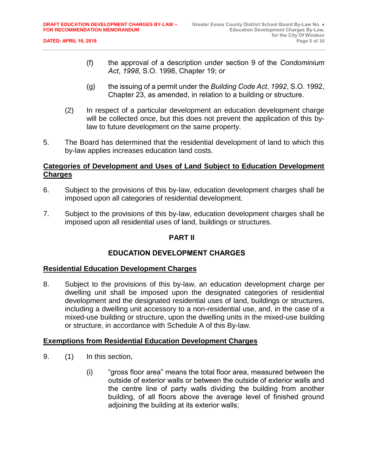- (f) the approval of a description under section 9 of the *Condominium Act*, *1998*, S.O. 1998, Chapter 19; or
- (g) the issuing of a permit under the *Building Code Act*, *1992*, S.O. 1992, Chapter 23, as amended, in relation to a building or structure.
- (2) In respect of a particular development an education development charge will be collected once, but this does not prevent the application of this bylaw to future development on the same property.
- 5. The Board has determined that the residential development of land to which this by-law applies increases education land costs.

## **Categories of Development and Uses of Land Subject to Education Development Charges**

- 6. Subject to the provisions of this by-law, education development charges shall be imposed upon all categories of residential development.
- 7. Subject to the provisions of this by-law, education development charges shall be imposed upon all residential uses of land, buildings or structures.

# **PART II**

# **EDUCATION DEVELOPMENT CHARGES**

## **Residential Education Development Charges**

8. Subject to the provisions of this by-law, an education development charge per dwelling unit shall be imposed upon the designated categories of residential development and the designated residential uses of land, buildings or structures, including a dwelling unit accessory to a non-residential use, and, in the case of a mixed-use building or structure, upon the dwelling units in the mixed-use building or structure, in accordance with Schedule A of this By-law.

## **Exemptions from Residential Education Development Charges**

- 9. (1) In this section,
	- (i) "gross floor area" means the total floor area, measured between the outside of exterior walls or between the outside of exterior walls and the centre line of party walls dividing the building from another building, of all floors above the average level of finished ground adjoining the building at its exterior walls;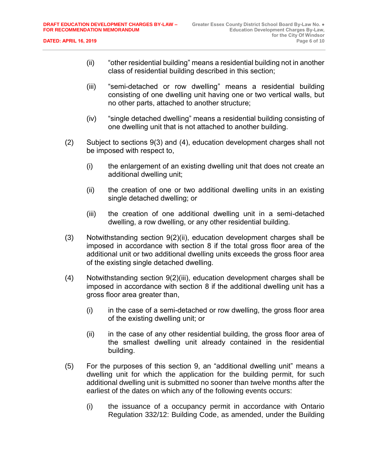- (ii) "other residential building" means a residential building not in another class of residential building described in this section;
- (iii) "semi-detached or row dwelling" means a residential building consisting of one dwelling unit having one or two vertical walls, but no other parts, attached to another structure;
- (iv) "single detached dwelling" means a residential building consisting of one dwelling unit that is not attached to another building.
- (2) Subject to sections 9(3) and (4), education development charges shall not be imposed with respect to,
	- (i) the enlargement of an existing dwelling unit that does not create an additional dwelling unit;
	- (ii) the creation of one or two additional dwelling units in an existing single detached dwelling; or
	- (iii) the creation of one additional dwelling unit in a semi-detached dwelling, a row dwelling, or any other residential building.
- (3) Notwithstanding section 9(2)(ii), education development charges shall be imposed in accordance with section 8 if the total gross floor area of the additional unit or two additional dwelling units exceeds the gross floor area of the existing single detached dwelling.
- (4) Notwithstanding section 9(2)(iii), education development charges shall be imposed in accordance with section 8 if the additional dwelling unit has a gross floor area greater than,
	- (i) in the case of a semi-detached or row dwelling, the gross floor area of the existing dwelling unit; or
	- (ii) in the case of any other residential building, the gross floor area of the smallest dwelling unit already contained in the residential building.
- (5) For the purposes of this section 9, an "additional dwelling unit" means a dwelling unit for which the application for the building permit, for such additional dwelling unit is submitted no sooner than twelve months after the earliest of the dates on which any of the following events occurs:
	- (i) the issuance of a occupancy permit in accordance with Ontario Regulation 332/12: Building Code, as amended, under the Building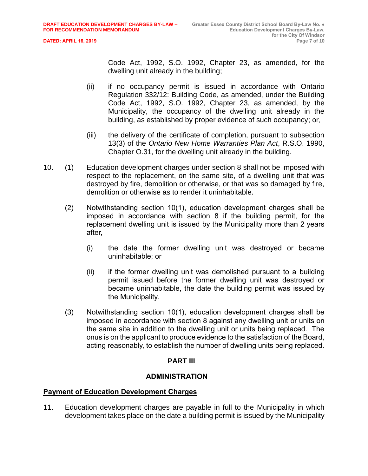Code Act, 1992, S.O. 1992, Chapter 23, as amended, for the dwelling unit already in the building;

- (ii) if no occupancy permit is issued in accordance with Ontario Regulation 332/12: Building Code, as amended, under the Building Code Act, 1992, S.O. 1992, Chapter 23, as amended, by the Municipality, the occupancy of the dwelling unit already in the building, as established by proper evidence of such occupancy; or,
- (iii) the delivery of the certificate of completion, pursuant to subsection 13(3) of the *Ontario New Home Warranties Plan Act*, R.S.O. 1990, Chapter O.31, for the dwelling unit already in the building.
- 10. (1) Education development charges under section 8 shall not be imposed with respect to the replacement, on the same site, of a dwelling unit that was destroyed by fire, demolition or otherwise, or that was so damaged by fire, demolition or otherwise as to render it uninhabitable.
	- (2) Notwithstanding section 10(1), education development charges shall be imposed in accordance with section 8 if the building permit, for the replacement dwelling unit is issued by the Municipality more than 2 years after,
		- (i) the date the former dwelling unit was destroyed or became uninhabitable; or
		- (ii) if the former dwelling unit was demolished pursuant to a building permit issued before the former dwelling unit was destroyed or became uninhabitable, the date the building permit was issued by the Municipality.
	- (3) Notwithstanding section 10(1), education development charges shall be imposed in accordance with section 8 against any dwelling unit or units on the same site in addition to the dwelling unit or units being replaced. The onus is on the applicant to produce evidence to the satisfaction of the Board, acting reasonably, to establish the number of dwelling units being replaced.

## **PART III**

## **ADMINISTRATION**

## **Payment of Education Development Charges**

11. Education development charges are payable in full to the Municipality in which development takes place on the date a building permit is issued by the Municipality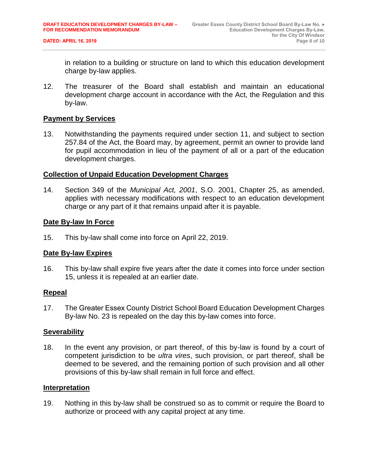in relation to a building or structure on land to which this education development charge by-law applies.

12. The treasurer of the Board shall establish and maintain an educational development charge account in accordance with the Act, the Regulation and this by-law.

#### **Payment by Services**

13. Notwithstanding the payments required under section 11, and subject to section 257.84 of the Act, the Board may, by agreement, permit an owner to provide land for pupil accommodation in lieu of the payment of all or a part of the education development charges.

#### **Collection of Unpaid Education Development Charges**

14. Section 349 of the *Municipal Act, 2001*, S.O. 2001, Chapter 25, as amended, applies with necessary modifications with respect to an education development charge or any part of it that remains unpaid after it is payable.

#### **Date By-law In Force**

15. This by-law shall come into force on April 22, 2019.

## **Date By-law Expires**

16. This by-law shall expire five years after the date it comes into force under section 15, unless it is repealed at an earlier date.

## **Repeal**

17. The Greater Essex County District School Board Education Development Charges By-law No. 23 is repealed on the day this by-law comes into force.

#### **Severability**

18. In the event any provision, or part thereof, of this by-law is found by a court of competent jurisdiction to be *ultra vires*, such provision, or part thereof, shall be deemed to be severed, and the remaining portion of such provision and all other provisions of this by-law shall remain in full force and effect.

#### **Interpretation**

19. Nothing in this by-law shall be construed so as to commit or require the Board to authorize or proceed with any capital project at any time.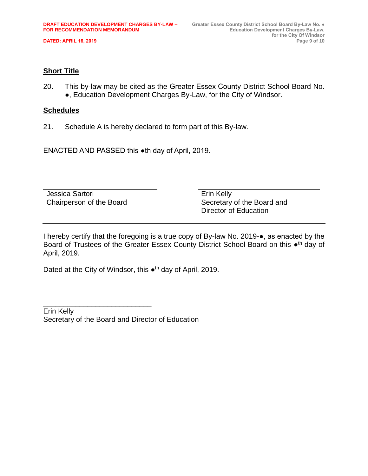## **Short Title**

20. This by-law may be cited as the Greater Essex County District School Board No. ●, Education Development Charges By-Law, for the City of Windsor.

#### **Schedules**

21. Schedule A is hereby declared to form part of this By-law.

ENACTED AND PASSED this ●th day of April, 2019.

Jessica Sartori Chairperson of the Board Erin Kelly Secretary of the Board and Director of Education

I hereby certify that the foregoing is a true copy of By-law No. 2019-●, as enacted by the Board of Trustees of the Greater Essex County District School Board on this •<sup>th</sup> day of April, 2019.

Dated at the City of Windsor, this •<sup>th</sup> day of April, 2019.

Erin Kelly Secretary of the Board and Director of Education

\_\_\_\_\_\_\_\_\_\_\_\_\_\_\_\_\_\_\_\_\_\_\_\_\_\_\_